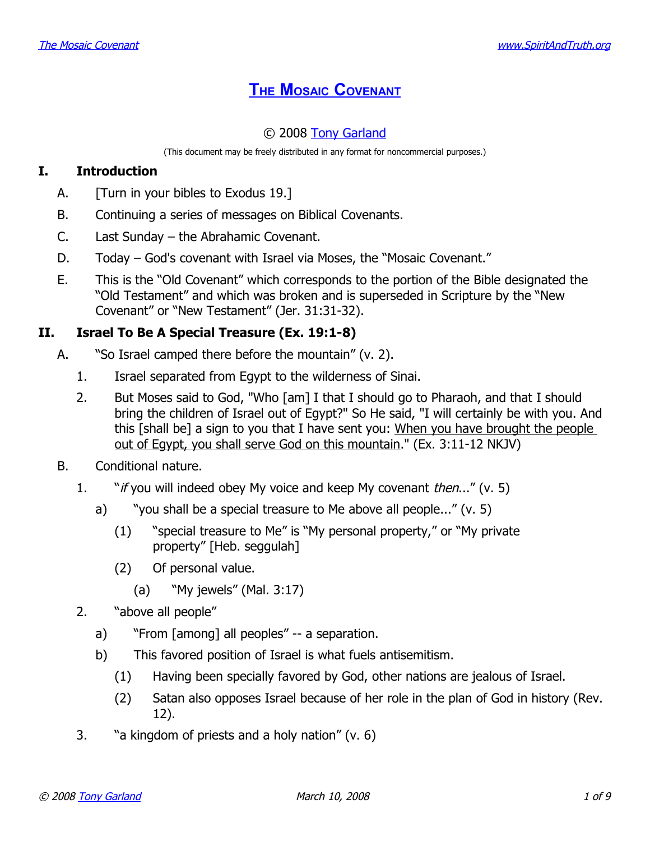# **THE MOSAIC C[OVENANT](http://www.spiritandtruth.org/teaching/20.htm)**

# © 2008 [Tony Garland](http://www.spiritandtruth.org/id/tg.htm)

(This document may be freely distributed in any format for noncommercial purposes.)

## **I. Introduction**

- A. [Turn in your bibles to Exodus 19.]
- B. Continuing a series of messages on Biblical Covenants.
- C. Last Sunday the Abrahamic Covenant.
- D. Today God's covenant with Israel via Moses, the "Mosaic Covenant."
- E. This is the "Old Covenant" which corresponds to the portion of the Bible designated the "Old Testament" and which was broken and is superseded in Scripture by the "New Covenant" or "New Testament" (Jer. 31:31-32).

## **II. Israel To Be A Special Treasure (Ex. 19:1-8)**

- A. "So Israel camped there before the mountain" (v. 2).
	- 1. Israel separated from Egypt to the wilderness of Sinai.
	- 2. But Moses said to God, "Who [am] I that I should go to Pharaoh, and that I should bring the children of Israel out of Egypt?" So He said, "I will certainly be with you. And this [shall be] a sign to you that I have sent you: When you have brought the people out of Egypt, you shall serve God on this mountain." (Ex. 3:11-12 NKJV)
- B. Conditional nature.
	- 1. "*if you will indeed obey My voice and keep My covenant then..."* (v. 5)
		- a) "you shall be a special treasure to Me above all people..." (v. 5)
			- (1) "special treasure to Me" is "My personal property," or "My private property" [Heb. seggulah]
			- (2) Of personal value.
				- (a) "My jewels" (Mal. 3:17)
	- 2. "above all people"
		- a) "From [among] all peoples" -- a separation.
		- b) This favored position of Israel is what fuels antisemitism.
			- (1) Having been specially favored by God, other nations are jealous of Israel.
			- (2) Satan also opposes Israel because of her role in the plan of God in history (Rev. 12).
	- 3. "a kingdom of priests and a holy nation" (v. 6)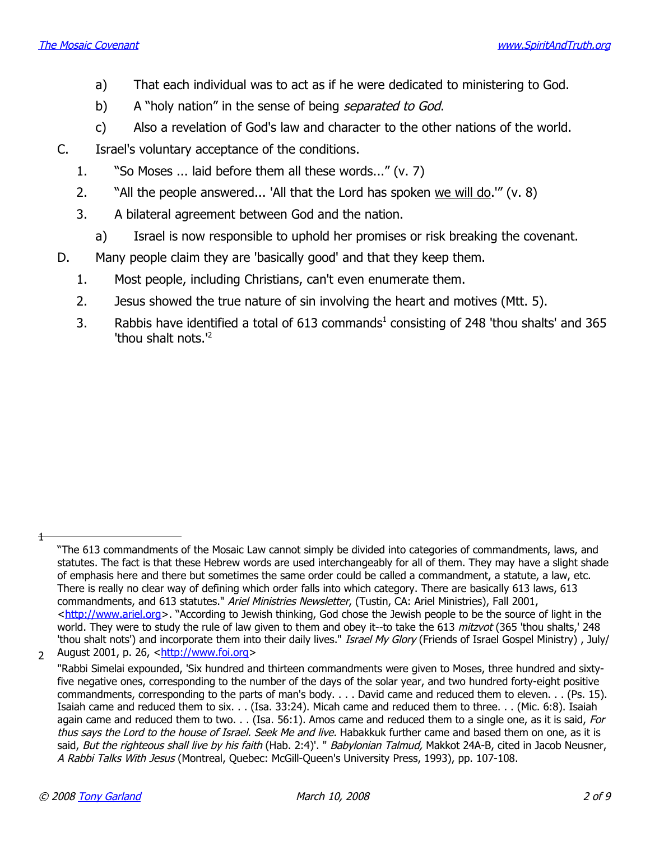- a) That each individual was to act as if he were dedicated to ministering to God.
- b) A "holy nation" in the sense of being *separated to God.*
- c) Also a revelation of God's law and character to the other nations of the world.
- C. Israel's voluntary acceptance of the conditions.
	- 1. "So Moses ... laid before them all these words..." (v. 7)
	- 2. "All the people answered... 'All that the Lord has spoken we will do.'" (v. 8)
	- 3. A bilateral agreement between God and the nation.
		- a) Israel is now responsible to uphold her promises or risk breaking the covenant.
- D. Many people claim they are 'basically good' and that they keep them.
	- 1. Most people, including Christians, can't even enumerate them.
	- 2. Jesus showed the true nature of sin involving the heart and motives (Mtt. 5).
	- 3. Rabbis have identified a total of 6[1](#page-1-0)3 commands $^1$  consisting of 248 'thou shalts' and 365 'thou shalt nots.'[2](#page-1-1)

2 August 2001, p. 26, [<http://www.foi.org>](http://www.foi.org/)

 $\ddagger$ 

<span id="page-1-0"></span><sup>&</sup>quot;The 613 commandments of the Mosaic Law cannot simply be divided into categories of commandments, laws, and statutes. The fact is that these Hebrew words are used interchangeably for all of them. They may have a slight shade of emphasis here and there but sometimes the same order could be called a commandment, a statute, a law, etc. There is really no clear way of defining which order falls into which category. There are basically 613 laws, 613 commandments, and 613 statutes." Ariel Ministries Newsletter, (Tustin, CA: Ariel Ministries), Fall 2001, [<http://www.ariel.org>](http://www.ariel.org/). "According to Jewish thinking, God chose the Jewish people to be the source of light in the world. They were to study the rule of law given to them and obey it--to take the 613 mitzvot (365 'thou shalts,' 248 'thou shalt nots') and incorporate them into their daily lives." Israel My Glory (Friends of Israel Gospel Ministry), July/

<span id="page-1-1"></span><sup>&</sup>quot;Rabbi Simelai expounded, 'Six hundred and thirteen commandments were given to Moses, three hundred and sixtyfive negative ones, corresponding to the number of the days of the solar year, and two hundred forty-eight positive commandments, corresponding to the parts of man's body. . . . David came and reduced them to eleven. . . (Ps. 15). Isaiah came and reduced them to six. . . (Isa. 33:24). Micah came and reduced them to three. . . (Mic. 6:8). Isaiah again came and reduced them to two. . . (Isa. 56:1). Amos came and reduced them to a single one, as it is said, For thus says the Lord to the house of Israel. Seek Me and live. Habakkuk further came and based them on one, as it is said, But the righteous shall live by his faith (Hab. 2:4)'. " Babylonian Talmud, Makkot 24A-B, cited in Jacob Neusner, A Rabbi Talks With Jesus (Montreal, Quebec: McGill-Queen's University Press, 1993), pp. 107-108.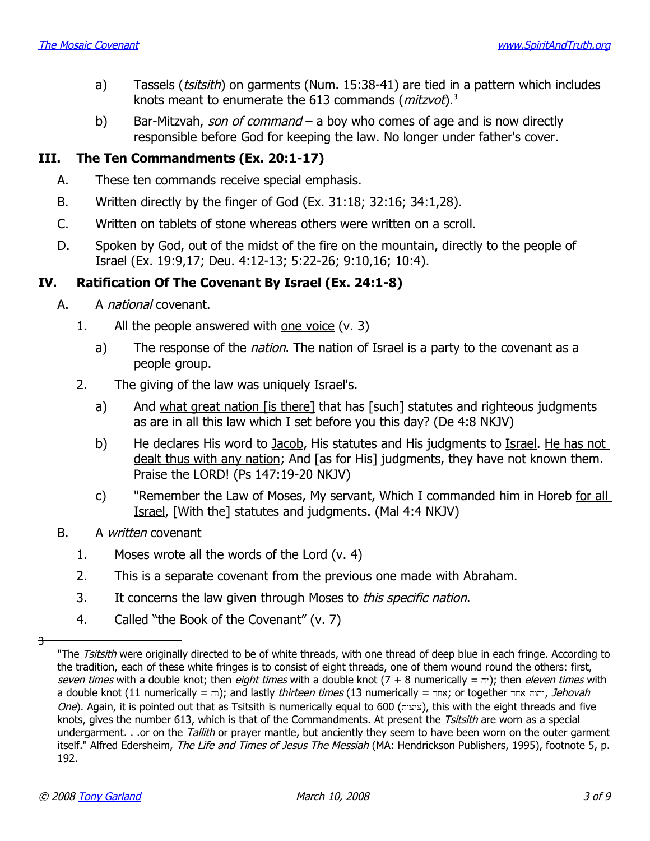- a) Tassels (*tsitsith*) on garments (Num. 15:38-41) are tied in a pattern which includes knots meant to enumerate the 61[3](#page-2-0) commands ( $m$ itzvot).<sup>3</sup>
- b) Bar-Mitzvah, son of command a boy who comes of age and is now directly responsible before God for keeping the law. No longer under father's cover.

## **III. The Ten Commandments (Ex. 20:1-17)**

- A. These ten commands receive special emphasis.
- B. Written directly by the finger of God (Ex. 31:18; 32:16; 34:1,28).
- C. Written on tablets of stone whereas others were written on a scroll.
- D. Spoken by God, out of the midst of the fire on the mountain, directly to the people of Israel (Ex. 19:9,17; Deu. 4:12-13; 5:22-26; 9:10,16; 10:4).

## **IV. Ratification Of The Covenant By Israel (Ex. 24:1-8)**

- A. A *national* covenant.
	- 1. All the people answered with one voice (v. 3)
		- a) The response of the *nation*. The nation of Israel is a party to the covenant as a people group.
	- 2. The giving of the law was uniquely Israel's.
		- a) And what great nation [is there] that has [such] statutes and righteous judgments as are in all this law which I set before you this day? (De 4:8 NKJV)
		- b) He declares His word to Jacob, His statutes and His judgments to Israel. He has not dealt thus with any nation; And [as for His] judgments, they have not known them. Praise the LORD! (Ps 147:19-20 NKJV)
		- c) "Remember the Law of Moses, My servant, Which I commanded him in Horeb for all Israel, [With the] statutes and judgments. (Mal 4:4 NKJV)
- B. A written covenant
	- 1. Moses wrote all the words of the Lord (v. 4)
	- 2. This is a separate covenant from the previous one made with Abraham.
	- 3. It concerns the law given through Moses to *this specific nation*.
	- 4. Called "the Book of the Covenant" (v. 7)

3

<span id="page-2-0"></span><sup>&</sup>quot;The Tsitsith were originally directed to be of white threads, with one thread of deep blue in each fringe. According to the tradition, each of these white fringes is to consist of eight threads, one of them wound round the others: first, seven times with a double knot; then eight times with a double knot  $(7 + 8$  numerically =  $\pi$ ); then eleven times with a double knot (11 numerically = הוה אחד); and lastly thirteen times (13 numerically =  $x$ ; or together  $n \sin \lambda$ , Jehovah One). Again, it is pointed out that as Tsitsith is numerically equal to 600 (ציציה), this with the eight threads and five knots, gives the number 613, which is that of the Commandments. At present the *Tsitsith* are worn as a special undergarment. . .or on the Tallith or prayer mantle, but anciently they seem to have been worn on the outer garment itself." Alfred Edersheim, The Life and Times of Jesus The Messiah (MA: Hendrickson Publishers, 1995), footnote 5, p. 192.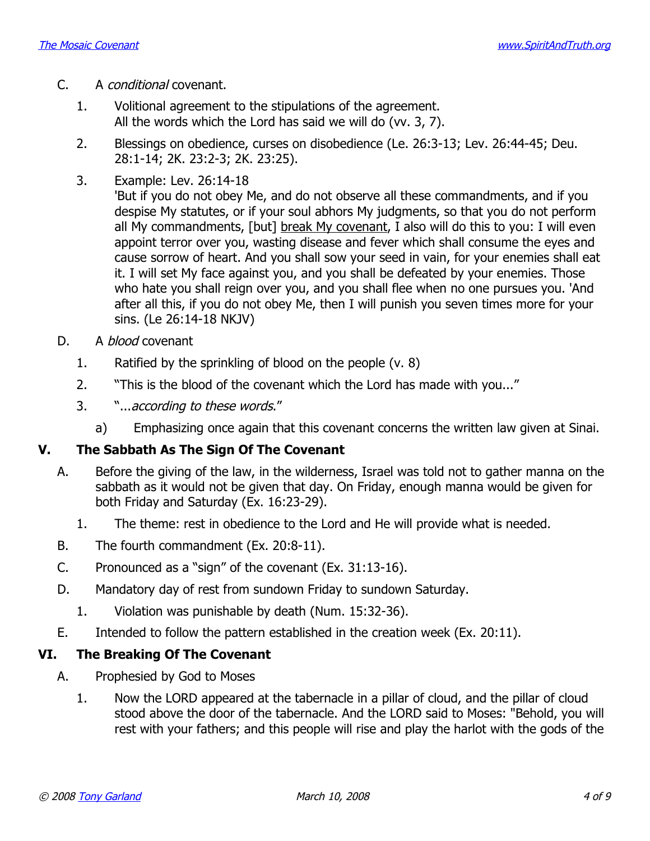- C. A conditional covenant.
	- 1. Volitional agreement to the stipulations of the agreement. All the words which the Lord has said we will do (vv. 3, 7).
	- 2. Blessings on obedience, curses on disobedience (Le. 26:3-13; Lev. 26:44-45; Deu. 28:1-14; 2K. 23:2-3; 2K. 23:25).
	- 3. Example: Lev. 26:14-18

'But if you do not obey Me, and do not observe all these commandments, and if you despise My statutes, or if your soul abhors My judgments, so that you do not perform all My commandments, [but] break My covenant, I also will do this to you: I will even appoint terror over you, wasting disease and fever which shall consume the eyes and cause sorrow of heart. And you shall sow your seed in vain, for your enemies shall eat it. I will set My face against you, and you shall be defeated by your enemies. Those who hate you shall reign over you, and you shall flee when no one pursues you. 'And after all this, if you do not obey Me, then I will punish you seven times more for your sins. (Le 26:14-18 NKJV)

- D. A *blood* covenant
	- 1. Ratified by the sprinkling of blood on the people (v. 8)
	- 2. "This is the blood of the covenant which the Lord has made with you..."
	- 3. "...according to these words."
		- a) Emphasizing once again that this covenant concerns the written law given at Sinai.

### **V. The Sabbath As The Sign Of The Covenant**

- A. Before the giving of the law, in the wilderness, Israel was told not to gather manna on the sabbath as it would not be given that day. On Friday, enough manna would be given for both Friday and Saturday (Ex. 16:23-29).
	- 1. The theme: rest in obedience to the Lord and He will provide what is needed.
- B. The fourth commandment (Ex. 20:8-11).
- C. Pronounced as a "sign" of the covenant (Ex. 31:13-16).
- D. Mandatory day of rest from sundown Friday to sundown Saturday.
	- 1. Violation was punishable by death (Num. 15:32-36).
- E. Intended to follow the pattern established in the creation week (Ex. 20:11).

### **VI. The Breaking Of The Covenant**

- A. Prophesied by God to Moses
	- 1. Now the LORD appeared at the tabernacle in a pillar of cloud, and the pillar of cloud stood above the door of the tabernacle. And the LORD said to Moses: "Behold, you will rest with your fathers; and this people will rise and play the harlot with the gods of the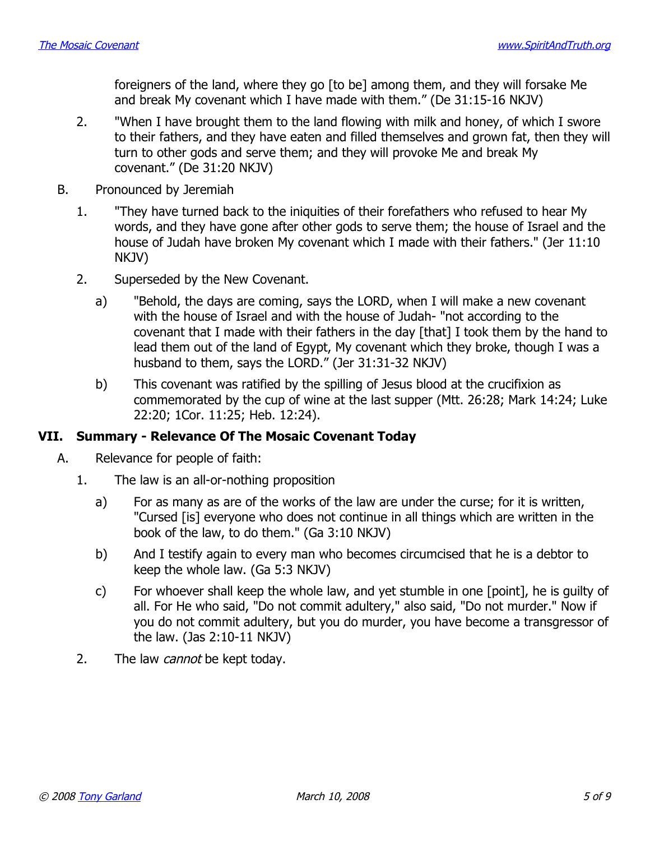foreigners of the land, where they go [to be] among them, and they will forsake Me and break My covenant which I have made with them." (De 31:15-16 NKJV)

- 2. "When I have brought them to the land flowing with milk and honey, of which I swore to their fathers, and they have eaten and filled themselves and grown fat, then they will turn to other gods and serve them; and they will provoke Me and break My covenant." (De 31:20 NKJV)
- B. Pronounced by Jeremiah
	- 1. "They have turned back to the iniquities of their forefathers who refused to hear My words, and they have gone after other gods to serve them; the house of Israel and the house of Judah have broken My covenant which I made with their fathers." (Jer 11:10 NKJV)
	- 2. Superseded by the New Covenant.
		- a) "Behold, the days are coming, says the LORD, when I will make a new covenant with the house of Israel and with the house of Judah- "not according to the covenant that I made with their fathers in the day [that] I took them by the hand to lead them out of the land of Egypt, My covenant which they broke, though I was a husband to them, says the LORD." (Jer 31:31-32 NKJV)
		- b) This covenant was ratified by the spilling of Jesus blood at the crucifixion as commemorated by the cup of wine at the last supper (Mtt. 26:28; Mark 14:24; Luke 22:20; 1Cor. 11:25; Heb. 12:24).

### **VII. Summary - Relevance Of The Mosaic Covenant Today**

- A. Relevance for people of faith:
	- 1. The law is an all-or-nothing proposition
		- a) For as many as are of the works of the law are under the curse; for it is written, "Cursed [is] everyone who does not continue in all things which are written in the book of the law, to do them." (Ga 3:10 NKJV)
		- b) And I testify again to every man who becomes circumcised that he is a debtor to keep the whole law. (Ga 5:3 NKJV)
		- c) For whoever shall keep the whole law, and yet stumble in one [point], he is guilty of all. For He who said, "Do not commit adultery," also said, "Do not murder." Now if you do not commit adultery, but you do murder, you have become a transgressor of the law. (Jas 2:10-11 NKJV)
	- 2. The law *cannot* be kept today.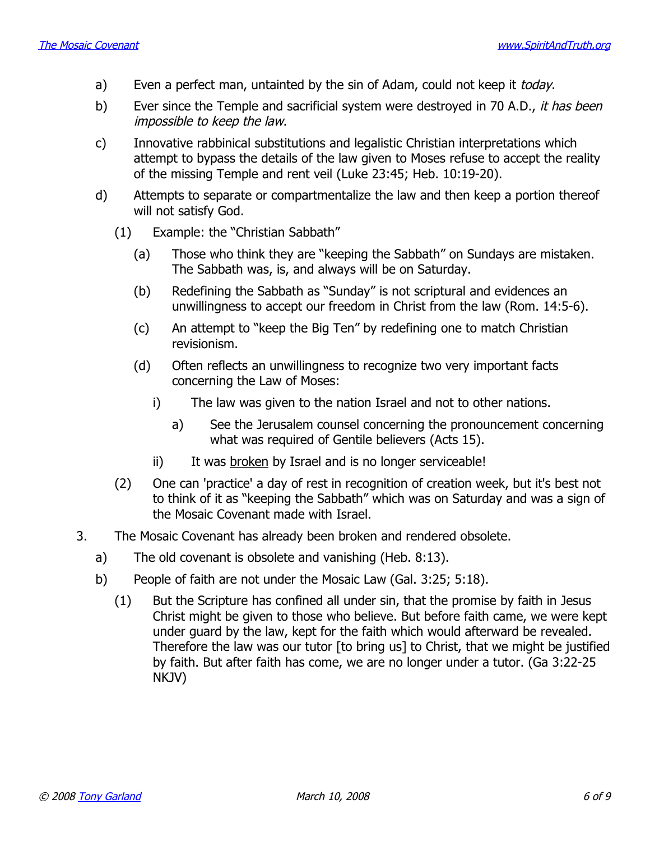- a) Even a perfect man, untainted by the sin of Adam, could not keep it *today*.
- b) Ever since the Temple and sacrificial system were destroyed in 70 A.D., it has been impossible to keep the law.
- c) Innovative rabbinical substitutions and legalistic Christian interpretations which attempt to bypass the details of the law given to Moses refuse to accept the reality of the missing Temple and rent veil (Luke 23:45; Heb. 10:19-20).
- d) Attempts to separate or compartmentalize the law and then keep a portion thereof will not satisfy God.
	- (1) Example: the "Christian Sabbath"
		- (a) Those who think they are "keeping the Sabbath" on Sundays are mistaken. The Sabbath was, is, and always will be on Saturday.
		- (b) Redefining the Sabbath as "Sunday" is not scriptural and evidences an unwillingness to accept our freedom in Christ from the law (Rom. 14:5-6).
		- (c) An attempt to "keep the Big Ten" by redefining one to match Christian revisionism.
		- (d) Often reflects an unwillingness to recognize two very important facts concerning the Law of Moses:
			- i) The law was given to the nation Israel and not to other nations.
				- a) See the Jerusalem counsel concerning the pronouncement concerning what was required of Gentile believers (Acts 15).
			- ii) It was broken by Israel and is no longer serviceable!
	- (2) One can 'practice' a day of rest in recognition of creation week, but it's best not to think of it as "keeping the Sabbath" which was on Saturday and was a sign of the Mosaic Covenant made with Israel.
- 3. The Mosaic Covenant has already been broken and rendered obsolete.
	- a) The old covenant is obsolete and vanishing (Heb. 8:13).
	- b) People of faith are not under the Mosaic Law (Gal. 3:25; 5:18).
		- (1) But the Scripture has confined all under sin, that the promise by faith in Jesus Christ might be given to those who believe. But before faith came, we were kept under guard by the law, kept for the faith which would afterward be revealed. Therefore the law was our tutor [to bring us] to Christ, that we might be justified by faith. But after faith has come, we are no longer under a tutor. (Ga 3:22-25 NKJV)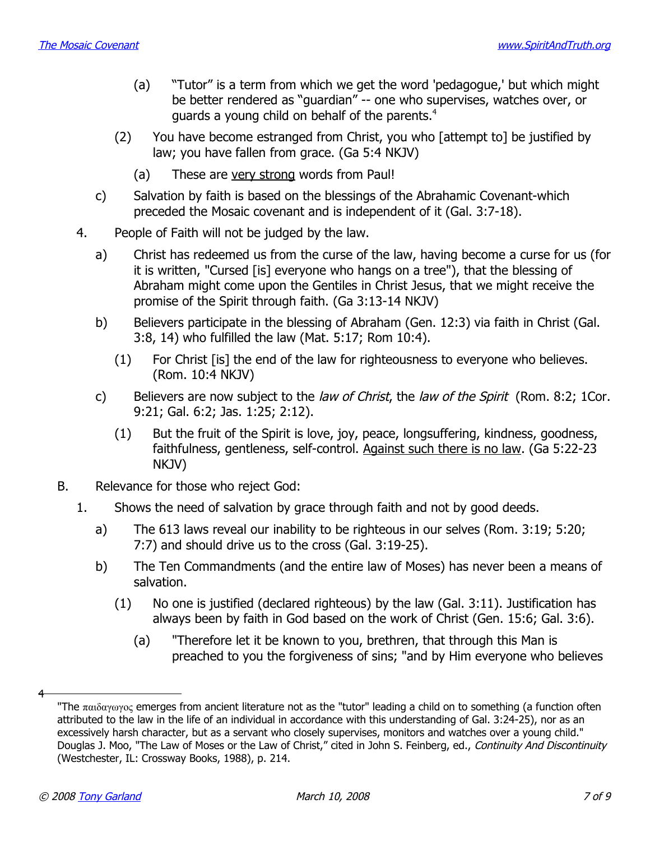- (a) "Tutor" is a term from which we get the word 'pedagogue,' but which might be better rendered as "guardian" -- one who supervises, watches over, or guards a young child on behalf of the parents.<sup>[4](#page-6-0)</sup>
- (2) You have become estranged from Christ, you who [attempt to] be justified by law; you have fallen from grace. (Ga 5:4 NKJV)
	- (a) These are very strong words from Paul!
- c) Salvation by faith is based on the blessings of the Abrahamic Covenant-which preceded the Mosaic covenant and is independent of it (Gal. 3:7-18).
- 4. People of Faith will not be judged by the law.
	- a) Christ has redeemed us from the curse of the law, having become a curse for us (for it is written, "Cursed [is] everyone who hangs on a tree"), that the blessing of Abraham might come upon the Gentiles in Christ Jesus, that we might receive the promise of the Spirit through faith. (Ga 3:13-14 NKJV)
	- b) Believers participate in the blessing of Abraham (Gen. 12:3) via faith in Christ (Gal. 3:8, 14) who fulfilled the law (Mat. 5:17; Rom 10:4).
		- (1) For Christ [is] the end of the law for righteousness to everyone who believes. (Rom. 10:4 NKJV)
	- c) Believers are now subject to the law of Christ, the law of the Spirit (Rom. 8:2; 1Cor. 9:21; Gal. 6:2; Jas. 1:25; 2:12).
		- (1) But the fruit of the Spirit is love, joy, peace, longsuffering, kindness, goodness, faithfulness, gentleness, self-control. Against such there is no law. (Ga 5:22-23 NKJV)
- B. Relevance for those who reject God:
	- 1. Shows the need of salvation by grace through faith and not by good deeds.
		- a) The 613 laws reveal our inability to be righteous in our selves (Rom. 3:19; 5:20; 7:7) and should drive us to the cross (Gal. 3:19-25).
		- b) The Ten Commandments (and the entire law of Moses) has never been a means of salvation.
			- (1) No one is justified (declared righteous) by the law (Gal. 3:11). Justification has always been by faith in God based on the work of Christ (Gen. 15:6; Gal. 3:6).
				- (a) "Therefore let it be known to you, brethren, that through this Man is preached to you the forgiveness of sins; "and by Him everyone who believes

4

<span id="page-6-0"></span><sup>&</sup>quot;The  $\pi\alpha_1\delta\alpha\gamma\omega\gamma_0$  emerges from ancient literature not as the "tutor" leading a child on to something (a function often attributed to the law in the life of an individual in accordance with this understanding of Gal. 3:24-25), nor as an excessively harsh character, but as a servant who closely supervises, monitors and watches over a young child." Douglas J. Moo, "The Law of Moses or the Law of Christ," cited in John S. Feinberg, ed., Continuity And Discontinuity (Westchester, IL: Crossway Books, 1988), p. 214.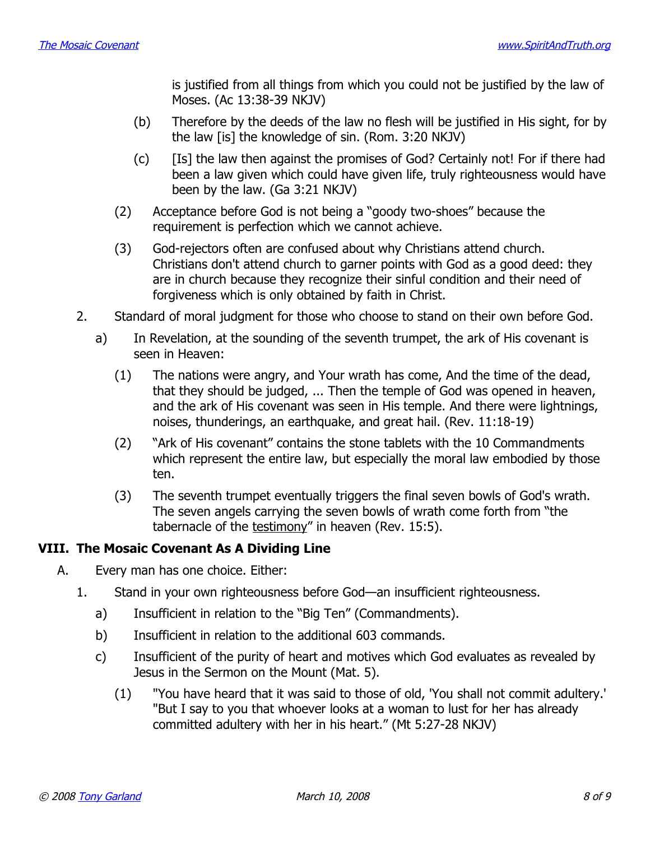is justified from all things from which you could not be justified by the law of Moses. (Ac 13:38-39 NKJV)

- (b) Therefore by the deeds of the law no flesh will be justified in His sight, for by the law [is] the knowledge of sin. (Rom. 3:20 NKJV)
- (c) [Is] the law then against the promises of God? Certainly not! For if there had been a law given which could have given life, truly righteousness would have been by the law. (Ga 3:21 NKJV)
- (2) Acceptance before God is not being a "goody two-shoes" because the requirement is perfection which we cannot achieve.
- (3) God-rejectors often are confused about why Christians attend church. Christians don't attend church to garner points with God as a good deed: they are in church because they recognize their sinful condition and their need of forgiveness which is only obtained by faith in Christ.
- 2. Standard of moral judgment for those who choose to stand on their own before God.
	- a) In Revelation, at the sounding of the seventh trumpet, the ark of His covenant is seen in Heaven:
		- (1) The nations were angry, and Your wrath has come, And the time of the dead, that they should be judged, ... Then the temple of God was opened in heaven, and the ark of His covenant was seen in His temple. And there were lightnings, noises, thunderings, an earthquake, and great hail. (Rev. 11:18-19)
		- (2) "Ark of His covenant" contains the stone tablets with the 10 Commandments which represent the entire law, but especially the moral law embodied by those ten.
		- (3) The seventh trumpet eventually triggers the final seven bowls of God's wrath. The seven angels carrying the seven bowls of wrath come forth from "the tabernacle of the testimony" in heaven (Rev. 15:5).

### **VIII. The Mosaic Covenant As A Dividing Line**

- A. Every man has one choice. Either:
	- 1. Stand in your own righteousness before God—an insufficient righteousness.
		- a) Insufficient in relation to the "Big Ten" (Commandments).
		- b) Insufficient in relation to the additional 603 commands.
		- c) Insufficient of the purity of heart and motives which God evaluates as revealed by Jesus in the Sermon on the Mount (Mat. 5).
			- (1) "You have heard that it was said to those of old, 'You shall not commit adultery.' "But I say to you that whoever looks at a woman to lust for her has already committed adultery with her in his heart." (Mt 5:27-28 NKJV)